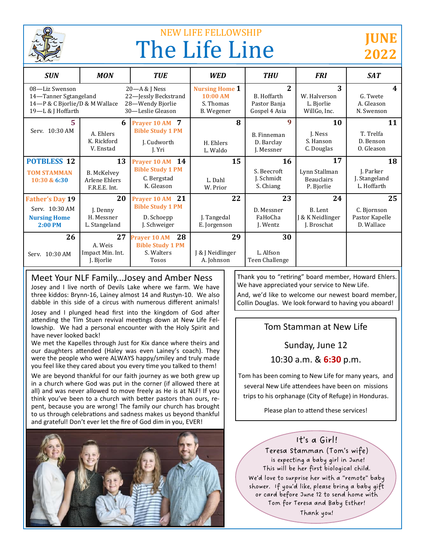

# NEW LIFE FELLOWSHIP The Life Line

## **JUNE 2022**

| <b>SUN</b>                                                                                     | <b>MON</b>                                                 | <b>TUE</b>                                                                         | <b>WED</b>                                                          | <b>THU</b>                                                              | <b>FRI</b>                                                  | <b>SAT</b>                                        |
|------------------------------------------------------------------------------------------------|------------------------------------------------------------|------------------------------------------------------------------------------------|---------------------------------------------------------------------|-------------------------------------------------------------------------|-------------------------------------------------------------|---------------------------------------------------|
| 08-Liz Swenson<br>14-Tanner Sgtangeland<br>14-P & C Bjorlie/D & M Wallace<br>19-L & J Hoffarth |                                                            | $20 - A &$ J Ness<br>22-Jessly Beckstrand<br>28-Wendy Bjorlie<br>30-Leslie Gleason | <b>Nursing Home 1</b><br>10:00 AM<br>S. Thomas<br><b>B.</b> Wegener | $\overline{\mathbf{2}}$<br>B. Hoffarth<br>Pastor Banja<br>Gospel 4 Asia | 3<br>W. Halverson<br>L. Bjorlie<br>WillGo, Inc.             | 4<br>G. Twete<br>A. Gleason<br>N. Swenson         |
| 5<br>Serv. 10:30 AM                                                                            | 6<br>A. Ehlers<br>K. Rickford<br>V. Enstad                 | Prayer 10 AM 7<br><b>Bible Study 1 PM</b><br>J. Cudworth<br>I. Yri                 | 8<br>H. Ehlers<br>L. Waldo                                          | 9<br>B. Finneman<br>D. Barclay<br>J. Messner                            | 10<br>J. Ness<br>S. Hanson<br>C. Douglas                    | 11<br>T. Trelfa<br>D. Benson<br>O. Gleason        |
| <b>POTBLESS 12</b><br><b>TOM STAMMAN</b><br>10:30 & 6:30                                       | 13<br><b>B.</b> McKelvev<br>Arlene Ehlers<br>F.R.E.E. Int. | 14<br><b>Prayer 10 AM</b><br><b>Bible Study 1 PM</b><br>C. Bergstad<br>K. Gleason  | 15<br>L. Dahl<br>W. Prior                                           | 16<br>S. Beecroft<br>J. Schmidt<br>S. Chiang                            | 17<br>Lynn Stallman<br><b>Beauclairs</b><br>P. Bjorlie      | 18<br>J. Parker<br>J. Stangeland<br>L. Hoffarth   |
| <b>Father's Day 19</b><br>Serv. 10:30 AM<br><b>Nursing Home</b><br>$2:00$ PM                   | 20<br>J. Denny<br>H. Messner<br>L. Stangeland              | Prayer 10 AM 21<br><b>Bible Study 1 PM</b><br>D. Schoepp<br>J. Schweiger           | 22<br>J. Tangedal<br>E. Jorgenson                                   | 23<br>D. Messner<br>FaHoCha<br>J. Wentz                                 | 24<br>B. Lent<br><b>J &amp; K Neidlinger</b><br>J. Broschat | 25<br>C. Biornson<br>Pastor Kapelle<br>D. Wallace |
| 26<br>Serv. 10:30 AM                                                                           | 27<br>A. Weis<br>Impact Min. Int.<br>J. Bjorlie            | 28<br><b>Prayer 10 AM</b><br><b>Bible Study 1 PM</b><br>S. Walters<br><b>Tosos</b> | 29<br>J & J Neidlinger<br>A. Johnson                                | 30<br>L. Alfson<br>Teen Challenge                                       |                                                             |                                                   |

#### Meet Your NLF Family...Josey and Amber Ness

Josey and I live north of Devils Lake where we farm. We have three kiddos: Brynn-16, Lainey almost 14 and Rustyn-10. We also dabble in this side of a circus with numerous different animals!

Josey and I plunged head first into the kingdom of God after attending the Tim Stuen revival meetings down at New Life Fellowship. We had a personal encounter with the Holy Spirit and have never looked back!

We met the Kapelles through Just for Kix dance where theirs and our daughters attended (Haley was even Lainey's coach). They were the people who were ALWAYS happy/smiley and truly made you feel like they cared about you every time you talked to them!

We are beyond thankful for our faith journey as we both grew up in a church where God was put in the corner (if allowed there at all) and was never allowed to move freely as He is at NLF! If you think you've been to a church with better pastors than ours, repent, because you are wrong! The family our church has brought to us through celebrations and sadness makes us beyond thankful and grateful! Don't ever let the fire of God dim in you, EVER!



Thank you to "retiring" board member, Howard Ehlers. We have appreciated your service to New Life.

And, we'd like to welcome our newest board member, Collin Douglas. We look forward to having you aboard!

## Tom Stamman at New Life

Sunday, June 12

10:30 a.m. & **6:30** p.m.

Tom has been coming to New Life for many years, and several New Life attendees have been on missions trips to his orphanage (City of Refuge) in Honduras.

Please plan to attend these services!

#### It's a Girl!

Teresa Stamman (Tom's wife) is expecting a baby girl in June! This will be her first biological child. We'd love to surprise her with a "remote" baby shower. If you'd like, please bring a baby gift or card before June 12 to send home with Tom for Teresa and Baby Esther!

Thank you!